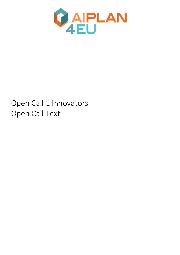

# Open Call 1 Innovators Open Call Text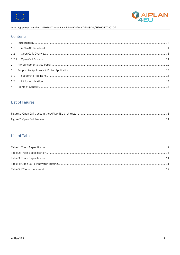



# Contents

| 3.1 |  |
|-----|--|
|     |  |
|     |  |

# List of Figures

# List of Tables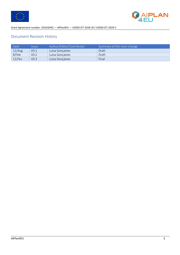



# Document Revision History

| Date      | <i><u><b>Issue</b></u></i> | Author/Editor/Contributor | Summary of the main change |
|-----------|----------------------------|---------------------------|----------------------------|
| 11/Aug    | V <sub>0.1</sub>           | Luisa Goncalves           | Draft                      |
| 8/Feb     | V <sub>0.2</sub>           | Luisa Gonçalves           | Draft                      |
| $11$ /Fev | V <sub>0.3</sub>           | Luisa Gonçalves           | Final                      |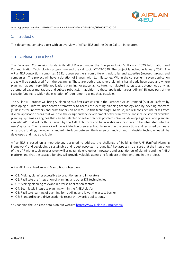



# 1. Introduction

This document contains a text with an overview of AIPlan4EU and the Open Call 1 – Innovators.

# 1.1 AIPlan4EU in a brief

The European Commission funds AIPlan4EU Project under the European Union's Horizon 2020 Information and Communication Technologies programme and the call topic ICT-49-2020. The project launched in January 2021. The AIPlan4EU consortium comprises 16 European partners from different industries and expertise (research groups and companies). The project will have a duration of 3 years with 11 milestones. Within the consortium, seven application areas will be considered from the beginning. These are both areas where planning has already been used and where planning has seen very little application: planning for space, agriculture, manufacturing, logistics, autonomous driving, automated experimentation, and subsea robotics). In addition to these application areas, AIPlan4EU uses part of the cascade funding to widen the elicitation of requirements as much as possible.

The AIPlan4EU project will bring AI planning as a first-class citizen in the European AI On-Demand (AI4EU) Platform by developing a uniform, user-centred framework to access the existing planning technology and by devising concrete guidelines for innovators and practitioners on how to use this technology. To do so, we will consider use-cases from diverse application areas that will drive the design and the development of the framework, and include several available planning systems as engines that can be selected to solve practical problems. We will develop a general and planneragnostic API that will both be served by the AI4EU platform and be available as a resource to be integrated into the users' systems. The framework will be validated on use-cases both from within the consortium and recruited by means of cascade funding; moreover, standard interfaces between the framework and common industrial technologies will be developed and made available.

AIPlan4EU is based on a methodology designed to address the challenge of building the UPF (Unified Planning Framework) and developing a sustainable and robust ecosystem around it. A key aspect is to ensure that the integration of the UPF within such an ecosystem will bring tangible value for innovators and practitioners of planning and the AI4EU platform and that the cascade funding will provide valuable assets and feedback at the right time in the project.

AIPlan4EU is centred around 6 ambitious objectives:

- O1: Making planning accessible to practitioners and innovators
- O2: Facilitate the integration of planning and other ICT technologies
- O3: Making planning relevant in diverse application sectors
- O4: Seamlessly integrate planning within the AI4EU platform
- O5: Facilitate learning of planning for reskilling and lower the access barrier
- O6: Standardize and drive academic research towards applications.

You can find the use-case details on our website https://www.aiplan4eu-project.eu/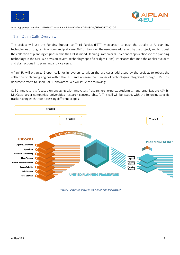



## 1.2 Open Calls Overview

The project will use the Funding Support to Third Parties (FSTP) mechanism to push the uptake of AI planning technologies through an AI on-demand platform (AI4EU), to widen the use-cases addressed by the project, and to robust the collection of planning engines within the UPF (Unified Planning Framework). To connect applications to the planning technology in the UPF, we envision several technology-specific bridges (TSBs): interfaces that map the applicative data and abstractions into planning and vice versa.

AIPan4EU will organize 2 open calls for innovators to widen the use-cases addressed by the project, to robust the collection of planning engines within the UPF, and increase the number of technologies integrated through TSBs. This document refers to Open Call 1 Innovators. We will issue the following:

Call 1 Innovators is focused on engaging with innovators (researchers, experts, students,…) and organisations (SMEs, MidCaps, larger companies, universities, research centres, labs,…). This call will be issued, with the following specific tracks having each track accessing different scopes.



*Figure 1: Open Call tracks in the AIPLan4EU architecture*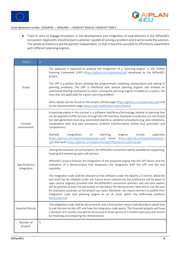



● Track A: aims to engage innovators in the development and integration of new planners in the AIPlan4EU ecosystem. Applicants should present a planner capable of solving a problem and it will provide the solution. The whole architecture will be planner-independent, so that it becomes possible to effortlessly experiment with different planning engines.

| <b>TRACK</b>                   | $\mathsf{A}% _{\mathsf{A}}^{\prime}=\mathsf{A}_{\mathsf{A}}^{\prime}$                                                                                                                                                                                                                                                                                                                                                                                                                                                                                                                                        |
|--------------------------------|--------------------------------------------------------------------------------------------------------------------------------------------------------------------------------------------------------------------------------------------------------------------------------------------------------------------------------------------------------------------------------------------------------------------------------------------------------------------------------------------------------------------------------------------------------------------------------------------------------------|
|                                | The applicant is expected to propose the integration of a "planning engine" in the Unified<br>Planning Framework (UPF) (https://github.com/aiplan4eu/upf) developed by the AIPlan4EU<br>project.                                                                                                                                                                                                                                                                                                                                                                                                             |
| Scope                          | The UPF is a python library allowing the programmatic modeling, manipulation and solving of<br>planning problems. The UPF is interfaced with several planning engines and embeds an<br>automated filtering mechanism to select, among the planning engines installed on a system, the<br>ones that are applicable for a given planning problem.                                                                                                                                                                                                                                                              |
|                                | More details can be found on the project GitHub page (https://github.com/aiplan4eu/upf) and<br>on the documentation page (https://upf.readthedocs.io/en/latest/).                                                                                                                                                                                                                                                                                                                                                                                                                                            |
| Context/<br>environment        | A planning engine in this context is a software tool/library/technology relative to planning that<br>can be adapted to offer services through the UPF interface. Examples include (but are not limited<br>to): plan generation tools (e.g. automated planners), validation procedures (e.g. plan validators),<br>visualization tools (e.g. plan animators), problem transformation utilities (e.g. grounders and<br>compilations).                                                                                                                                                                           |
|                                | planning<br>Example<br>integrations<br>of<br>engines<br>include<br>pyperplan<br>(https://github.com/aiplan4eu/pyperplan-upf), tamer (https://github.com/aiplan4eu/tamer-<br>upf) and tarski (https://github.com/aiplan4eu/upf/tree/master/upf/interop).                                                                                                                                                                                                                                                                                                                                                      |
|                                | During the execution of such projects, the AIPlan4EU consortium will be available for supporting,<br>helping and mentoring open call winners.                                                                                                                                                                                                                                                                                                                                                                                                                                                                |
| Specifications/<br>integration | AIPlan4EU project finances the integration of the proposed engine into the UPF library and the<br>realization of a demonstrator that showcases the integration with the UPF and the tool<br>capability.                                                                                                                                                                                                                                                                                                                                                                                                      |
|                                | The integration code shall be released as free software under the Apache 2.0 license, while the<br>tool itself can be released under any license (even commercial, but preference will be given to<br>open-source engines) provided that the AIPlan4EU consortium partners and use-case owners<br>will be granted at least the permission to reproduce the demonstrator tests and to use the tool<br>for evaluation purposes on the project use-cases. Moreover, we require winners to publish their<br>integration code and planning engine as an AI asset within the AI4Europe platform<br>(ai4europe.eu). |
| <b>Expected Results</b>        | The integration code shall be documented, and a final written report shall describe in detail how<br>to use the tool via the UPF and how the integration code works. The financed projects will have<br>a duration of 6 months and will be structured in three sprints of 2 months each plus one month<br>for finalizing and preparing the demonstrator.                                                                                                                                                                                                                                                     |
| Number of<br>projects          | 5                                                                                                                                                                                                                                                                                                                                                                                                                                                                                                                                                                                                            |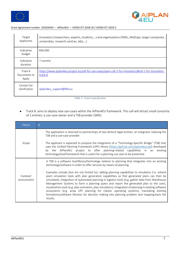



| Target<br>Applicants             | Innovators (researchers, experts, students,) and organisations (SMEs, MidCaps, larger companies,<br>universities, research centres, labs,) |
|----------------------------------|--------------------------------------------------------------------------------------------------------------------------------------------|
| Indicative<br>budget             | €60.000                                                                                                                                    |
| Indicative<br>duration           | 7 months                                                                                                                                   |
| Track A<br>Documents to<br>Apply | https://www.aiplan4eu-project.eu/call-for-use-cases/open-call-1-for-innovators/#call-1-for-innovators-<br>track-A                          |
| Contact for<br>clarification     | aiplan4eu support@fbk.eu                                                                                                                   |

*Table 1: Track A specification*

● Track B: aims to deploy new use-cases within the AIPlan4EU framework. This call will attract small consortia of 2 entities: a use-case owner and a TSB provider (SME).

| <b>TRACK</b>            | B                                                                                                                                                                                                                                                                                                                                                                                                                                                                                                                                                                                                                                                                                                                     |
|-------------------------|-----------------------------------------------------------------------------------------------------------------------------------------------------------------------------------------------------------------------------------------------------------------------------------------------------------------------------------------------------------------------------------------------------------------------------------------------------------------------------------------------------------------------------------------------------------------------------------------------------------------------------------------------------------------------------------------------------------------------|
|                         | The application is reserved to partnerships of two distinct legal entities: an integrator realizing the<br>TSB and a use-case provider.                                                                                                                                                                                                                                                                                                                                                                                                                                                                                                                                                                               |
| Scope                   | The applicant is expected to propose the integration of a "Technology-Specific Bridge" (TSB) that<br>uses the Unified Planning Framework (UPF) library (https://github.com/aiplan4eu/upf) developed<br>project to offer planning-related capabilities in an existing<br>by the AIPlan4EU<br>technology/tool/framework that is useful for a planning use case to be presented.                                                                                                                                                                                                                                                                                                                                         |
|                         | A TSB is a software tool/library/technology relative to planning that integrates into an existing<br>technology/software in order to offer services by means of planning.                                                                                                                                                                                                                                                                                                                                                                                                                                                                                                                                             |
| Context/<br>environment | Examples include (but are not limited to): adding planning capabilities to simulators (i.e. extend<br>plant simulation tools with plan generation capabilities so that generated plans can then be<br>simulated), integration of automated planning in logistics tools (e.g. gather data from Warehouse<br>Management Systems to form a planning query and report the generated plan to the user),<br>visualization tools (e.g. plan animators, plan simulators), integration of planning in existing software<br>ecosystems (e.g. wrap UPF planning for robotic operating systems), translating existing<br>formalisms/software libraries for decision making into planning problem and mapping-back the<br>results. |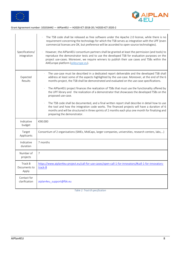



| Specifications/<br>integration   | The TSB code shall be released as free software under the Apache 2.0 license, while there is no<br>requirement concerning the technology for which the TSB serves as integration with the UPF (even<br>commercial licenses are OK, but preference will be accorded to open-source technologies).<br>However, the AIPlan4EU consortium partners shall be granted at least the permission (and tools) to<br>reproduce the demonstrator tests and to use the developed TSB for evaluation purposes on the<br>project use-cases. Moreover, we require winners to publish their use cases and TSBs within the<br>AI4Europe platform (ai4europe.eu).                                                                                                                                                                                                                      |
|----------------------------------|---------------------------------------------------------------------------------------------------------------------------------------------------------------------------------------------------------------------------------------------------------------------------------------------------------------------------------------------------------------------------------------------------------------------------------------------------------------------------------------------------------------------------------------------------------------------------------------------------------------------------------------------------------------------------------------------------------------------------------------------------------------------------------------------------------------------------------------------------------------------|
| Expected<br>Results              | The use-case must be described in a dedicated report deliverable and the developed TSB shall<br>address at least some of the aspects highlighted by the use-case. Moreover, at the end of the 6<br>months project, the TSB shall be demonstrated and evaluated on the use-case specifications.<br>The AIPlan4EU project finances the realization of TSBs that must use the functionality offered by<br>the UPF library and the realization of a demonstrator that showcases the developed TSBs on the<br>proposed use-case.<br>The TSB code shall be documented, and a final written report shall describe in detail how to use<br>the tool and how the integration code works. The financed projects will have a duration of 6<br>months and will be structured in three sprints of 2 months each plus one month for finalizing and<br>preparing the demonstrator. |
| Indicative<br>budget             | €90.000                                                                                                                                                                                                                                                                                                                                                                                                                                                                                                                                                                                                                                                                                                                                                                                                                                                             |
| Target<br>Applicants             | Consortium of 2 organisations (SMEs, MidCaps, larger companies, universities, research centers, labs,)                                                                                                                                                                                                                                                                                                                                                                                                                                                                                                                                                                                                                                                                                                                                                              |
| Indicative<br>duration           | 7 months                                                                                                                                                                                                                                                                                                                                                                                                                                                                                                                                                                                                                                                                                                                                                                                                                                                            |
| Number of<br>projects            | $\overline{7}$                                                                                                                                                                                                                                                                                                                                                                                                                                                                                                                                                                                                                                                                                                                                                                                                                                                      |
| Track B<br>Documents to<br>Apply | https://www.aiplan4eu-project.eu/call-for-use-cases/open-call-1-for-innovators/#call-1-for-innovators-<br>track-B                                                                                                                                                                                                                                                                                                                                                                                                                                                                                                                                                                                                                                                                                                                                                   |
| Contact for<br>clarification     | aiplan4eu support@fbk.eu                                                                                                                                                                                                                                                                                                                                                                                                                                                                                                                                                                                                                                                                                                                                                                                                                                            |

*Table 2: Track B specification*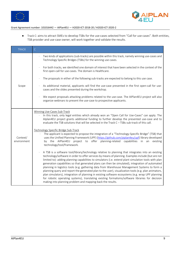



● Track C: aims to attract SMEs to develop TSBs for the use-cases selected from "Call for use-cases". Both entities, TSB provider and use-case owner, will work together and validate the results.

| <b>TRACK</b>            | $\mathsf C$                                                                                                                                                                                                                                                                                                                                                                                                                                                                                                                                                                                                                                                                                                                                                                                                                                                                                        |
|-------------------------|----------------------------------------------------------------------------------------------------------------------------------------------------------------------------------------------------------------------------------------------------------------------------------------------------------------------------------------------------------------------------------------------------------------------------------------------------------------------------------------------------------------------------------------------------------------------------------------------------------------------------------------------------------------------------------------------------------------------------------------------------------------------------------------------------------------------------------------------------------------------------------------------------|
|                         | Two kinds of applications (sub-tracks) are possible within this track, namely winning use-cases and<br>Technology Specific Bridges (TSBs) for the winning use-cases.                                                                                                                                                                                                                                                                                                                                                                                                                                                                                                                                                                                                                                                                                                                               |
|                         | For both tracks, we identified one domain of interest that have been selected in the context of the<br>first open-call for use-cases. The domain is Healthcare.                                                                                                                                                                                                                                                                                                                                                                                                                                                                                                                                                                                                                                                                                                                                    |
|                         | The proposals in either of the following sub-tracks are expected to belong to this use case.                                                                                                                                                                                                                                                                                                                                                                                                                                                                                                                                                                                                                                                                                                                                                                                                       |
| Scope                   | As additional material, applicants will find the use-case presented in the first open-call for use-<br>cases and the slides presented during the workshop.                                                                                                                                                                                                                                                                                                                                                                                                                                                                                                                                                                                                                                                                                                                                         |
|                         | We expect proposals attacking problems related to the use-case. The AIPlan4EU project will also<br>organize webinars to present the use-case to prospective applicants.                                                                                                                                                                                                                                                                                                                                                                                                                                                                                                                                                                                                                                                                                                                            |
|                         | Winning Use-Cases Sub-Track                                                                                                                                                                                                                                                                                                                                                                                                                                                                                                                                                                                                                                                                                                                                                                                                                                                                        |
|                         | In this track, only legal entities which already won an "Open Call for Use-Cases" can apply. The<br>Alplan4EU project grants additional funding to further develop the presented use-case and to<br>evaluate the TSB solutions that will be selected in the Track C - TSBs sub-track of this call.                                                                                                                                                                                                                                                                                                                                                                                                                                                                                                                                                                                                 |
| Context/<br>environment | Technology Specific Bridge Sub-Track<br>The applicant is expected to propose the integration of a "Technology-Specific Bridge" (TSB) that<br>uses the Unified Planning Framework (UPF) (https://github.com/aiplan4eu/upf) library developed<br>by the AIPlan4EU project<br>to offer planning-related capabilities in an<br>existing<br>technology/tool/framework.                                                                                                                                                                                                                                                                                                                                                                                                                                                                                                                                  |
|                         | A TSB is a software tool/library/technology relative to planning that integrates into an existing<br>technology/software in order to offer services by means of planning. Examples include (but are not<br>limited to): adding planning capabilities to simulators (i.e. extend plant simulation tools with plan<br>generation capabilities so that generated plans can then be simulated), integration of automated<br>planning in logistics tools (e.g. gathering data from Warehouse Management Systems to form a<br>planning query and report the generated plan to the user), visualization tools (e.g. plan animators,<br>plan simulators), integration of planning in existing software ecosystems (e.g. wrap UPF planning<br>for robotic operating systems), translating existing formalisms/software libraries for decision<br>making into planning problem and mapping-back the results. |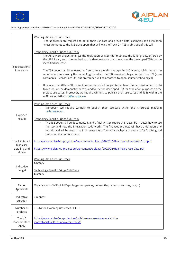



| Specifications/<br>integration                            | Winning Use-Cases Sub-Track<br>The applicants are required to detail their use-case and provide data, examples and evaluation<br>$\epsilon$ .<br>measurements to the TSB developers that will win the Track C - TSBs sub-track of this call.<br>Technology Specific Bridge Sub-Track<br>The AIPlan4EU project finances the realization of TSBs that must use the functionality offered by<br>the UPF library and the realization of a demonstrator that showcases the developed TSBs on the<br>identified use-case.<br>The TSB code shall be released as free software under the Apache 2.0 license, while there is no<br>requirement concerning the technology for which the TSB serves as integration with the UPF (even<br>commercial licenses are OK, but preference will be accorded to open-source technologies).<br>However, the AIPlan4EU consortium partners shall be granted at least the permission (and tools)<br>to reproduce the demonstrator tests and to use the developed TSB for evaluation purposes on the<br>project use-cases. Moreover, we require winners to publish their use cases and TSBs within the<br>AI4Europe platform (ai4europe.eu). |
|-----------------------------------------------------------|-----------------------------------------------------------------------------------------------------------------------------------------------------------------------------------------------------------------------------------------------------------------------------------------------------------------------------------------------------------------------------------------------------------------------------------------------------------------------------------------------------------------------------------------------------------------------------------------------------------------------------------------------------------------------------------------------------------------------------------------------------------------------------------------------------------------------------------------------------------------------------------------------------------------------------------------------------------------------------------------------------------------------------------------------------------------------------------------------------------------------------------------------------------------------|
| Expected<br>Results                                       | <b>Winning Use-Cases Sub-Track</b><br>Moreover, we require winners to publish their use-case within the AI4Europe platform<br>(ai4europe.eu).<br>Technology Specific Bridge Sub-Track<br>The TSB code shall be documented, and a final written report shall describe in detail how to use<br>the tool and how the integration code works. The financed projects will have a duration of 6<br>months and will be structured in three sprints of 2 months each plus one month for finalizing and<br>preparing the demonstrator.                                                                                                                                                                                                                                                                                                                                                                                                                                                                                                                                                                                                                                         |
| Track C Kit link<br>(use-case<br>detailing and<br>slides) | https://www.aiplan4eu-project.eu/wp-content/uploads/2022/02/Healthcare-Use-Case-Pitch.pdf<br>https://www.aiplan4eu-project.eu/wp-content/uploads/2022/02/Healthcare-Use-Case.pdf                                                                                                                                                                                                                                                                                                                                                                                                                                                                                                                                                                                                                                                                                                                                                                                                                                                                                                                                                                                      |
| Indicative<br>budget                                      | <b>Winning Use-Cases Sub-Track</b><br>€30.000<br>Technology Specific Bridge Sub-Track<br>€60.000                                                                                                                                                                                                                                                                                                                                                                                                                                                                                                                                                                                                                                                                                                                                                                                                                                                                                                                                                                                                                                                                      |
| Target<br>Applicants                                      | Organisations (SMEs, MidCaps, larger companies, universities, research centres, labs,)                                                                                                                                                                                                                                                                                                                                                                                                                                                                                                                                                                                                                                                                                                                                                                                                                                                                                                                                                                                                                                                                                |
| Indicative<br>duration                                    | 7 months                                                                                                                                                                                                                                                                                                                                                                                                                                                                                                                                                                                                                                                                                                                                                                                                                                                                                                                                                                                                                                                                                                                                                              |
| Number of<br>projects                                     | 1 TSBs for 1 winning use-cases $(1 + 1)$                                                                                                                                                                                                                                                                                                                                                                                                                                                                                                                                                                                                                                                                                                                                                                                                                                                                                                                                                                                                                                                                                                                              |
| Track C<br>Documents to<br>Apply                          | https://www.aiplan4eu-project.eu/call-for-use-cases/open-call-1-for-<br>innovators/#Call1ForInnovatorsTrackC                                                                                                                                                                                                                                                                                                                                                                                                                                                                                                                                                                                                                                                                                                                                                                                                                                                                                                                                                                                                                                                          |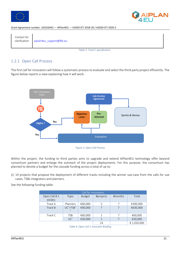





*Table 3: Track C specification*

# 1.2.1 Open Call Process

The first call for innovators will follow a systematic process to evaluate and select the third-party project efficiently. The figure below reports a view explaining how it will work.



*Figure 2: Open Call Process*

Within the project, the funding to third parties aims to upgrade and extend AIPlan4EU technology offer beyond consortium partners and enlarge the outreach of the project deployments. For this purpose, the consortium has planned to devote a budget for the cascade funding across a total of up to:

(i) 14 projects that propose the deployment of different tracks including the winner use-case from the calls for use cases, TSBs integrators and planners.

See the following funding table:

|                        |                        |               | Call for Innovators |         |             |
|------------------------|------------------------|---------------|---------------------|---------|-------------|
| Open Call #1<br>(OC#1) | Topic                  | <b>Budget</b> | #projects           | #months | Total       |
| Track A                | Planners               | €60,000       | 5                   |         | €300,000    |
| Track B                | $UC^*+TSB^*$<br>$\ast$ | €90,000       |                     |         | €630,000    |
| Track C                | <b>TSB</b>             | €60,000       |                     |         | €60,000     |
|                        | $UC^*$                 | €30,000       |                     |         | €30,000     |
|                        |                        |               | 14                  |         | € 1,020,000 |

*Table 4: Open Call 1 Innovator Briefing*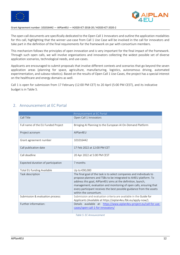



The open call documents are specifically dedicated to the Open Call 1 Innovators and outline the application modalities for this call, highlighting that the winner use-case from Call 1 Use Case will be involved in the call for innovators and take part in the definition of the final requirements for the framework on par with consortium members.

This mechanism follows the principles of open innovation and is very important for the final impact of the framework. Through such open calls, we will involve organisations and innovators collecting the widest possible set of diverse application scenarios, technological needs, and use-cases.

Applicants are encouraged to submit proposals that involve different contexts and scenarios that go beyond the seven application areas (planning for space, agriculture, manufacturing, logistics, autonomous driving, automated experimentation, and subsea robotics). Based on the results of Open Call 1 Use-Cases, the project has a special interest on the healthcare and energy domains as well.

Call 1 is open for submission from 17 February (12:00 PM CET) to 20 April (5:00 PM CEST), and its indicative budget is in Table 5.

|  |  | 2. Announcement at EC Portal |
|--|--|------------------------------|
|--|--|------------------------------|

| Announcement at EC Portal          |                                                                                                                                                                                                                                                                                                                                                                                   |
|------------------------------------|-----------------------------------------------------------------------------------------------------------------------------------------------------------------------------------------------------------------------------------------------------------------------------------------------------------------------------------------------------------------------------------|
| Call Title                         | Open Call 1 Innovators                                                                                                                                                                                                                                                                                                                                                            |
| Full name of the EU Funded Project | Bringing AI Planning to the European AI On-Demand Platform                                                                                                                                                                                                                                                                                                                        |
| Project acronym                    | AIPlan4EU                                                                                                                                                                                                                                                                                                                                                                         |
| Grant agreement number             | 101016442                                                                                                                                                                                                                                                                                                                                                                         |
| Call publication date              | 17 Feb 2022 at 12:00 PM CFT                                                                                                                                                                                                                                                                                                                                                       |
| Call deadline                      | 20 Apr 2022 at 5:00 PM CEST                                                                                                                                                                                                                                                                                                                                                       |
| Expected duration of participation | 7 months                                                                                                                                                                                                                                                                                                                                                                          |
| Total EU funding Available         | Up to €90,000                                                                                                                                                                                                                                                                                                                                                                     |
| Task description                   | The final goal of the task is to select companies and individuals to<br>propose planners and TSBs to be integrated to AI4EU platform. To<br>address this goal, AIPlan4EU aims at the definition, launch,<br>management, evaluation and monitoring of open calls, ensuring that<br>every participant receives the best possible guidance from the assets<br>within the consortium. |
| Submission & evaluation process:   | Submission and evaluation criteria are available in the Guide for<br>Applicants (Available at https://aiplan4eu.fbk.eu/apply-now/).                                                                                                                                                                                                                                               |
| Further information:               | Details available at: https://www.aiplan4eu-project.eu/call-for-use-<br>cases/open-call-1-for-innovators/                                                                                                                                                                                                                                                                         |

*Table 5: EC Announcement*